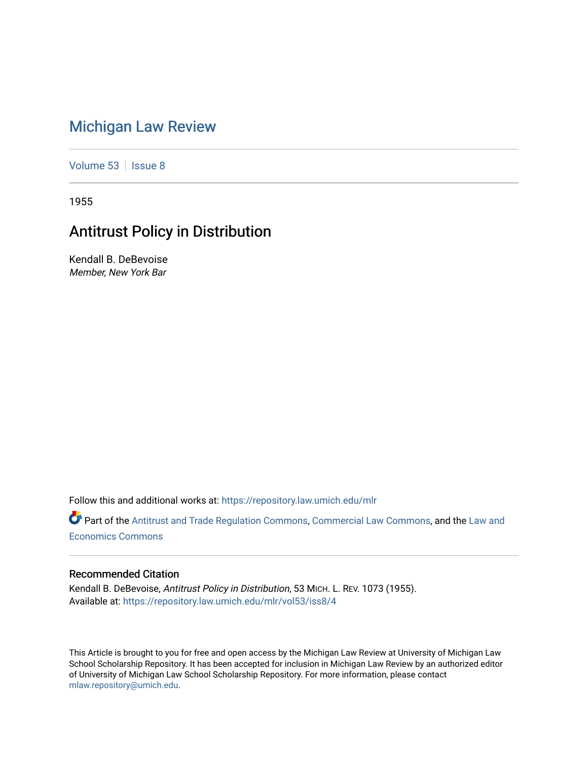# [Michigan Law Review](https://repository.law.umich.edu/mlr)

[Volume 53](https://repository.law.umich.edu/mlr/vol53) | [Issue 8](https://repository.law.umich.edu/mlr/vol53/iss8)

1955

# Antitrust Policy in Distribution

Kendall B. DeBevoise Member, New York Bar

Follow this and additional works at: [https://repository.law.umich.edu/mlr](https://repository.law.umich.edu/mlr?utm_source=repository.law.umich.edu%2Fmlr%2Fvol53%2Fiss8%2F4&utm_medium=PDF&utm_campaign=PDFCoverPages) 

Part of the [Antitrust and Trade Regulation Commons,](http://network.bepress.com/hgg/discipline/911?utm_source=repository.law.umich.edu%2Fmlr%2Fvol53%2Fiss8%2F4&utm_medium=PDF&utm_campaign=PDFCoverPages) [Commercial Law Commons](http://network.bepress.com/hgg/discipline/586?utm_source=repository.law.umich.edu%2Fmlr%2Fvol53%2Fiss8%2F4&utm_medium=PDF&utm_campaign=PDFCoverPages), and the Law and [Economics Commons](http://network.bepress.com/hgg/discipline/612?utm_source=repository.law.umich.edu%2Fmlr%2Fvol53%2Fiss8%2F4&utm_medium=PDF&utm_campaign=PDFCoverPages) 

#### Recommended Citation

Kendall B. DeBevoise, Antitrust Policy in Distribution, 53 MICH. L. REV. 1073 (1955). Available at: [https://repository.law.umich.edu/mlr/vol53/iss8/4](https://repository.law.umich.edu/mlr/vol53/iss8/4?utm_source=repository.law.umich.edu%2Fmlr%2Fvol53%2Fiss8%2F4&utm_medium=PDF&utm_campaign=PDFCoverPages)

This Article is brought to you for free and open access by the Michigan Law Review at University of Michigan Law School Scholarship Repository. It has been accepted for inclusion in Michigan Law Review by an authorized editor of University of Michigan Law School Scholarship Repository. For more information, please contact [mlaw.repository@umich.edu.](mailto:mlaw.repository@umich.edu)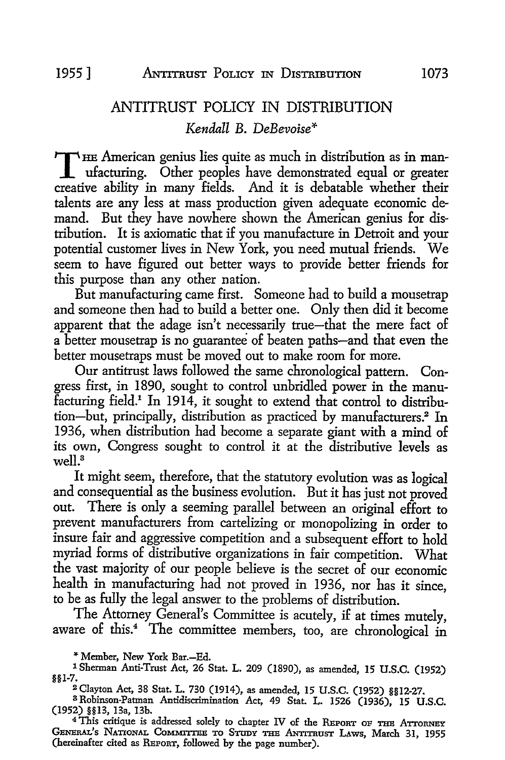# ANTITRUST POLICY IN DISTRIBUTION *Kendall* B. *DeBevoise\**

THE American genius lies quite as much in distribution as in manufacturing. Other peoples have demonstrated equal or greater creative ability in many fields. And it is debatable whether their talents are any less at mass production given adequate economic demand. But they have nowhere shown the American genius for distribution. It is axiomatic that if you manufacture in Detroit and your potential customer lives in New York, you need mutual friends. We seem to have figured out better ways to provide better friends for this purpose than any other nation.

But manufacturing came first. Someone had to build a mousetrap and someone then had to build a better one. Only then did it become apparent that the adage isn't necessarily true-that the mere fact of a better mousetrap is no guarantee of beaten paths-and that even the better mousetraps must be moved out to make room for more.

Our antitrust laws followed the same chronological pattern. Congress first, in 1890, sought to control unbridled power in the manufacturing field.1 In 1914, it sought to extend that control to distribution-but, principally, distribution as practiced by manufacturers.2 In 1936, when distribution had become a separate giant with a mind of its own, Congress sought to control it at the distributive levels as  $w$ ell<sup>3</sup>

It might seem, therefore, that the statutory evolution was as logical and consequential as the business evolution. But it has just not proved out. There is only a seeming parallel between an original effort to prevent manufacturers from cartelizing or monopolizing in order to insure fair and aggressive competition and a subsequent effort to hold myriad forms of distributive organizations in fair competition. What the vast majority of our people believe is the secret of our economic health in manufacturing had not proved in 1936, nor has it since, to be as fully the legal answer to the problems of distribution.

The Attorney General's Committee is acutely, if at times mutely, aware of this.<sup>4</sup> The committee members, too, are chronological in

\* Member, New York Bar.-Ed.

l Sherman Anti-Trust Act, 26 Stat. L. 209 (1890), as amended, 15 U.S.C. (1952) §§1-7.

<sup>2</sup>Clayton Act, 38 Stat. L. 730 (1914), as amended, 15 U.S.C. (1952) §§12-27.

<sup>3</sup>Robinson-Patman Antidiscrimination Act, 49 Stat. L. 1526 (1936), 15 U.S.C. (1952) §§13, 13a, 13b.

<sup>4</sup>This critique is addressed solely to chapter IV of the REPORT OF THE ATTORNEY GENERAL'S NATIONAL COMMITTEE TO STUDY THE ANTITRUST LAWS, March 31, 1955 (hereinafter cited as REPORT, followed by the page number).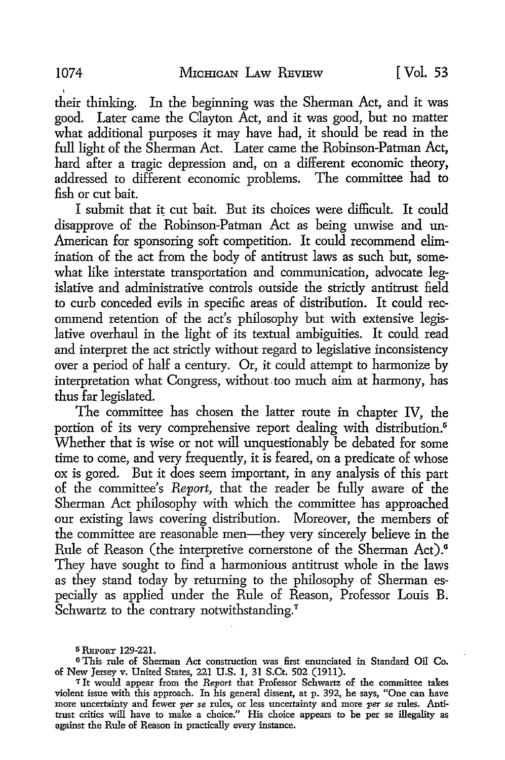their thinking. In the beginning was the Sherman Act, and it was good. Later came the Clayton Act, and it was good, but no matter what additional purposes it may have had, it should be read in the full light of the Sherman Act. Later came the Robinson-Patman Act, hard after a tragic depression and, on a different economic theory, addressed to different economic problems. The committee had to fish or cut bait.

I submit that it cut bait. But its choices were difficult. It could disapprove of the Robinson-Patman Act as being unwise and un-American for sponsoring soft competition. It could recommend elimination of the act from the body of antitrust laws as such but, somewhat like interstate transportation and communication, advocate legislative and administrative controls outside the strictly antitrust field to curb conceded evils in specific areas of distribution. It could recommend retention of the act's philosophy but with extensive legislative overhaul in the light of its textual ambiguities. It could read and interpret the act strictly without regard to legislative inconsistency over a period of half a century. Or, it could attempt to harmonize by interpretation what Congress, wjthout-too much aim at harmony, has thus far legislated.

The committee has chosen the latter route in chapter IV, the portion of its very comprehensive report dealing with distribution.<sup>5</sup> Whether that is wise or not will unquestionably be debated for some time to come, and very frequently, it is feared, on a predicate of whose ox is gored. But it does seem important, in any analysis of this part of the committee's *Report,* that the reader be fully aware of the Sherman Act philosophy with which the committee has approached our existing laws covering distribution. Moreover, the members of the committee are reasonable men—they very sincerely believe in the Rule of Reason (the interpretive cornerstone of the Sherman Act).<sup>6</sup> They have sought to find a harmonious antitrust whole in the laws as they stand today by returning to the philosophy of Sherman especially as applied under the Rule of Reason, Professor Louis B. Schwartz to the contrary notwithstanding.<sup>7</sup>

<sup>5</sup> REPORT 129-221.

<sup>6</sup>This rule of Sherman Act construction was first enunciated in Standard Oil Co. of New Jersey v. United States, 221 U.S. 1, 31 S.Ct. 502 (1911).

<sup>7</sup> Jt would appear from the *Report* that Professor Schwartz of the committee takes violent issue with this approach. In his general dissent, at p. 392, he says, "One can have more uncertainty and fewer *per se* rules, or less uncertainty and more *per se* rules. Antitrust critics will have to make a choice." His choice appears to be per se illegality as against the Rule of Reason in practically every instance.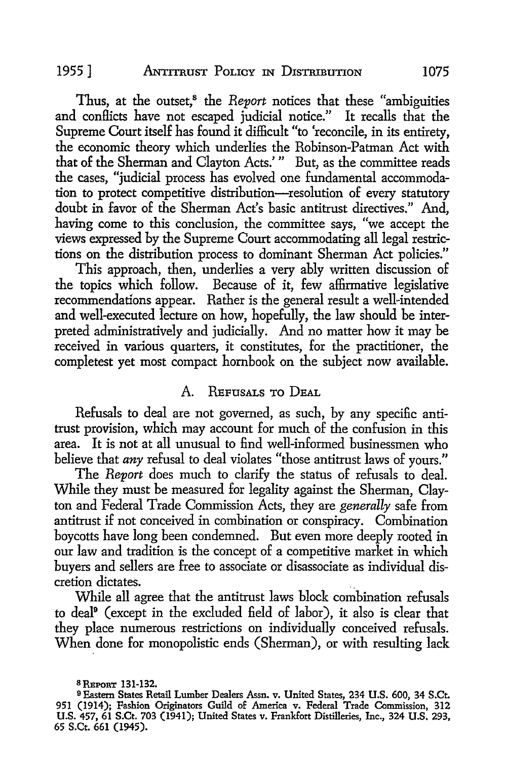Thus, at the outset,<sup>8</sup> the *Report* notices that these "ambiguities and conllicts have not escaped judicial notice." It recalls that the Supreme Court itself has found it difficult "to 'reconcile, in its entirety, the economic theory which underlies the Robinson-Patman Act with that of the Sherman and Clayton Acts.' " But, as the committee reads the cases, "judicial process has evolved one fundamental accommodation to protect competitive distribution-resolution of every statutory doubt in favor of the Sherman Act's basic antitrust directives." And, having come to this conclusion, the committee says, "we accept the views expressed by the Supreme Court accommodating all legal restrictions on the distribution process to dominant Sherman Act policies."

This approach, then, underlies a very ably written discussion of the topics which follow. Because of it, few affirmative legislative recommendations appear. Rather is the general result a well-intended and well-executed lecture on how, hopefully, the law should be interpreted administratively and judicially. And no matter how it may he received in various quarters, it constitutes, for the practitioner, the completest yet most compact hornbook on the subject now available.

#### A. REFUSALS TO DEAL

Refusals to deal are not governed, as such, by any specific antitrust provision, which may account for much of the confusion in this area. It is not at all unusual to find well-informed businessmen who believe that *any* refusal to deal violates "those antitrust laws of yours."

The *Report* does much to clarify the status of refusals to deal. While they must be measured for legality against the Sherman, Clayton and Federal Trade Commission Acts, they are *generally* safe from antitrust if not conceived in combination or conspiracy. Combination boycotts have long been condemned. But even more deeply rooted in our law and tradition is the concept of a competitive market in which buyers and sellers are free to associate or disassociate as individual discretion dictates.

While all agree that the antitrust laws block combination refusals to deal<sup>9</sup> (except in the excluded field of labor), it also is clear that they place numerous restrictions on individually conceived refusals. When done for monopolistic ends (Sherman), or with resulting lack

<sup>8</sup> REPORT 131-132.

<sup>9</sup>Eastern States Retail Lumber Dealers Assn. v. United States, 234 U.S. 600, 34 S.Ct. 951 (1914); Fashion Originators Guild of America v. Federal Trade Commission, 312 U.S. 457, 61 S.Ct. 703 (1941); United States v. Frankfort Distilleries, Inc., 324 U.S. 293, 65 S.Ct. 661 (1945).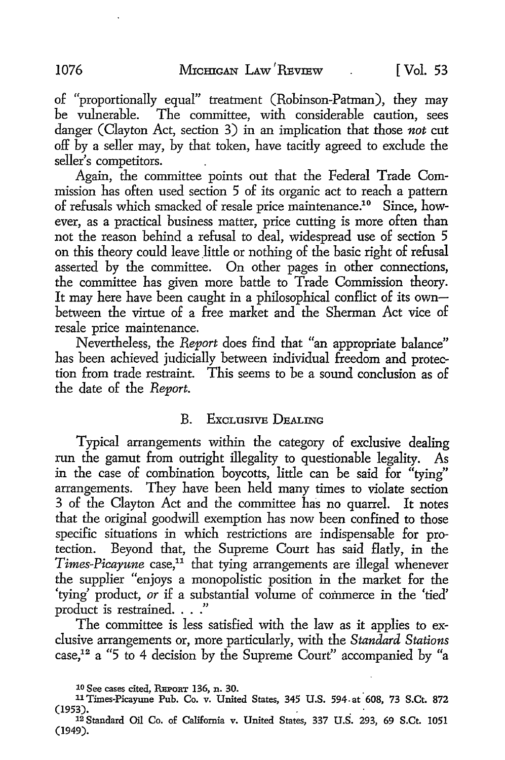of "proportionally equal" treatment (Robinson-Patman), they may be vulnerable. The committee, with considerable caution, sees danger ( Clayton Act, section 3) in an implication that those *not* cut off by a seller may, by that token, have tacitly agreed to exclude the seller's competitors.

Again, the committee points out that the Federal Trade Commission has often used section 5 of its organic act to reach a pattern of refusals which smacked of resale price maintenance.10 Since, however, as a practical business matter, price cutting is more often than not the reason behind a refusal to deal, widespread use of section 5 on this theory could leave little or nothing of the basic right of refusal asserted by the committee. On other pages in other connections, the committee has given more battle to Trade Commission theory. It may here have been caught in a philosophical conflict of its ownbetween the virtue of a free market and the Sherman Act vice of resale price maintenance.

Nevertheless, the *Report* does find that "an appropriate balance" has been achieved judicially between individual freedom and protection from trade restraint. This seems to be a sound conclusion as of the date of the *Report.* 

#### B. EXCLUSIVE DEALING

Typical arrangements within the category of exclusive dealing run the gamut from outright illegality to questionable legality. As in the case of combination boycotts, little can be said for "tying" arrangements. They have been held many times to violate section 3 of the Clayton Act and the committee has no quarrel. It notes that the original goodwill exemption has now been confined to those specific situations in which restrictions are indispensable for protection. Beyond that, the Supreme Court has said flatly, in the *Times-Picayune* case,<sup>11</sup> that tying arrangements are illegal whenever the supplier "enjoys a monopolistic position in the market for the 'tying' product, *or* if a substantial volume of commerce in the 'tied' product is restrained. . . ."

The committee is less satisfied with the law as it applies to exclusive arrangements or, more particularly, with the *Standard Stations*  case,1<sup>2</sup>a "5 to 4 decision by the Supreme Court" accompanied by "a

<sup>&</sup>lt;sup>10</sup> See cases cited, REPORT 136, n. 30.<br><sup>11</sup> Times-Picayune Pub. Co. v. United States, 345 U.S. 594 at 608, 73 S.Ct. 872<br>(1953).

<sup>&</sup>lt;sup>12</sup> Standard Oil Co. of California v. United States, 337 U.S. 293, 69 S.Ct. 1051 (1949).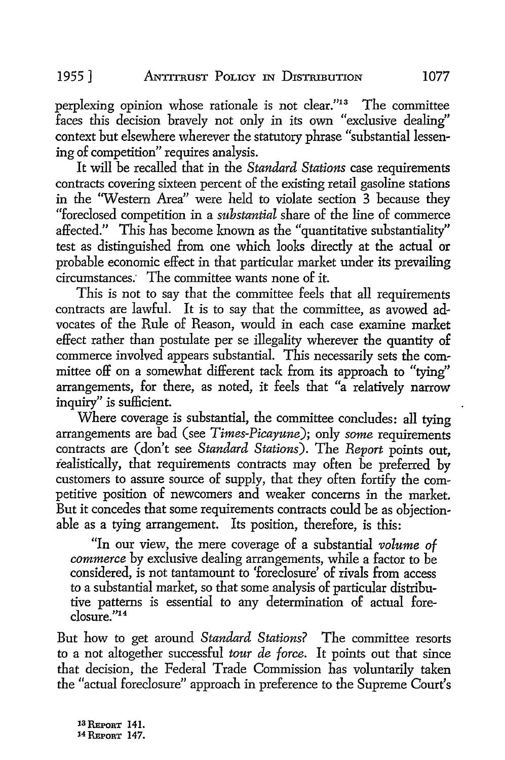perplexing opinion whose rationale is not clear."13 The committee faces this decision bravely not only in its own "exclusive dealing" context but elsewhere wherever the statutory phrase "substantial lessening of competition" requires analysis.

It will be recalled that in the *Standard Stations* case requirements contracts covering sixteen percent of the existing retail gasoline stations in the 'Western Area" were held to violate section 3 because they "foreclosed competition in a *substantial* share of the line of commerce affected." This has become known as the "quantitative substantiality" test as distinguished from one which looks directly at the actual or probable economic effect in that particular market under its prevailing circumstances: The committee wants none of it.

This is not to say that the committee feels that all requirements contracts are lawful. It is to say that the committee, as avowed advocates of the Rule of Reason, would in each case examine market effect rather than postulate per se illegality wherever the quantity of commerce involved appears substantial. This necessarily sets the committee off on a somewhat different tack from its approach to "tying" arrangements, for there, as noted, it feels that "a relatively narrow inquiry" is sufficient.

Where coverage is substantial, the committee concludes: all tying arrangements are bad (see *Times-Picayune);* only *some* requirements contracts are (don't see *Standard Stations).* The *Report* points out, realistically, that requirements contracts may often be preferred by customers to assure source of supply, that they often fortify the competitive position of newcomers and weaker concerns in the market. But it concedes that some requirements contracts could be as objectionable as a tying arrangement. Its position, therefore, is this:

"In our view, the mere coverage of a substantial *volume of commerce* by exclusive dealing arrangements, while a factor to be considered, is not tantamount to 'foreclosure' of rivals from access *to* a substantial market, so that some analysis of particular distributive patterns is essential to any determination of actual fore- $\overline{c}$ losure."<sup>14</sup>

But how to get around *Standard Stations?* The committee resorts to a not altogether successful *tour de force*. It points out that since that decision, the Federal Trade Commission has voluntarily taken the "actual foreclosure" approach in preference to the Supreme Court's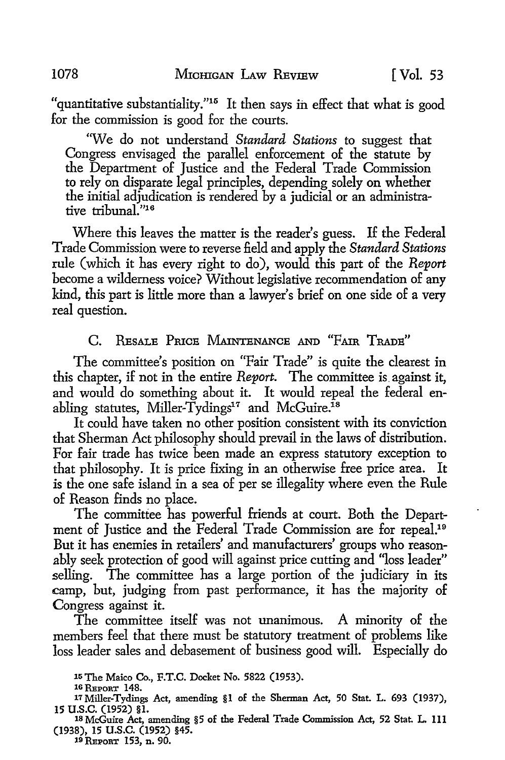"quantitative substantiality."15 It then says ih effect that what is good for the commission is good for the courts.

''\Ve do not understand *Standard Stations* to suggest that Congress envisaged the parallel enforcement of the statute by the Department of Justice and the Federal Trade Commission to rely on disparate legal principles, depending solely on whether the initial adjudication is rendered by a judicial or an administrative tribunal."<sup>16</sup>

Where this leaves the matter is the reader's guess. If the Federal Trade Commission were to reverse £eld and apply the *Standard Stations*  rule (which it has every right to do), would this part of the *Report*  become a wilderness voice? Without legislative recommendation of any kind, this part is little more than a lawyer's brief on one side of a very real question.

# C. RESALE PRICE MAINTENANCE AND "FAIR TRADE"

The committee's position on "Fair Trade" is quite the clearest in this chapter, if not in the entire *Report.* The committee is. against it, and would do something about it. It would repeal the federal enabling statutes, Miller-Tydings<sup>17</sup> and McGuire.<sup>18</sup>

It could have taken no other position consistent with its conviction that Sherman Act philosophy should prevail in the laws of distribution. For fair trade has twice been made an express statutory exception to that philosophy. It is price fixing in an otherwise free price area. It is the one safe island in a sea of per se illegality where even the Rule of Reason finds no place.

The committee has powerful friends at court. Both the Department of Justice and the Federal Trade Commission are for repeal.19 But it has enemies in retailers' and manufacturers' groups who reasonably seek protection of good will against price cutting and "loss leader" selling. The committee has a large portion of the judiciary in its camp, but, judging from past performance, it has the majority of Congress against it.

The committee itself was not unanimous. A minority of the members feel that there must be statutory treatment of problems like loss leader sales and debasement of business good will. Especially do

(1938), 15 U.S.C. (1952) §45.<br><sup>19</sup> REPORT 153, n. 90.

<sup>15</sup> The Maico Co., F.T.C. Docket No. 5822 (1953).<br>16 REPORT 148.<br>17 Miller-Tydings Act, amending §1 of the Sherman Act, 50 Stat. L. 693 (1937),<br>15 U.S.C. (1952) §1. **<sup>15</sup>u.s.c.** (1952) **§1.** 18 McGuire Act, amending §5 of the Federal Trade Commission Act, 52 Stat. L. 111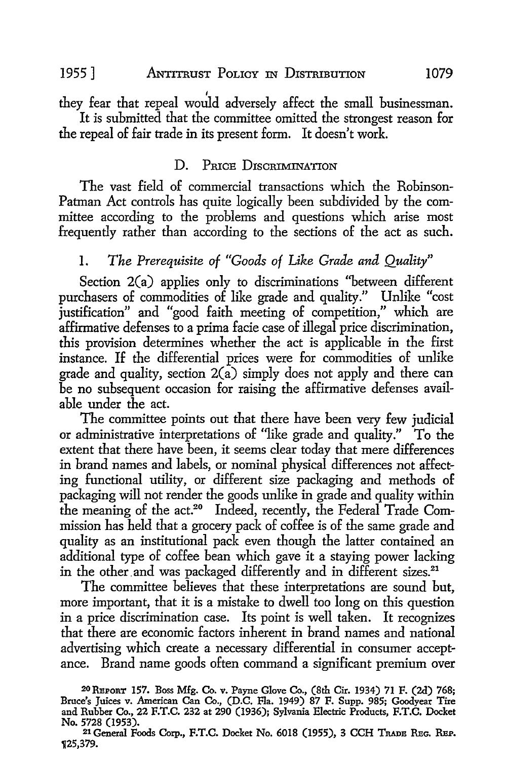they fear that repeal would adversely affect the small businessman. It is submitted that the committee omitted the strongest reason for the repeal of fair trade in its present form. It doesn't work.

#### D. PRICE DISCRIMINATION

The vast field of commercial transactions which the Robinson-Patman Act controls has quite logically been subdivided by the committee according to the problems and questions which arise most frequently rather than according to the sections of the act as such.

# 1. *The Prerequisite of "Goods of Like Grade and Quality"*

Section 2(a) applies only to discriminations "between different purchasers of commodities of like grade and quality." Unlike "cost justification" and "good faith meeting of competition," which are affirmative defenses to a prima facie case of illegal price discrimination, this provision determines whether the act is applicable in the first instance. If the differential prices were for commodities of unlike grade and quality, section  $2(a)$  simply does not apply and there can be no subsequent occasion for raising the affirmative defenses available under the act.

The committee points out that there have been very few judicial or administrative interpretations of "like grade and quality." To the extent that there have been, it seems clear today that mere differences in brand names and labels, or nominal physical differences not affecting functional utility, or different size packaging and methods of packaging will not render the goods unlike in grade and quality within the meaning of the act.<sup>20</sup> Indeed, recently, the Federal Trade Commission has held that a grocery pack of coffee is of the same grade and quality as an institutional pack even though the latter contained an additional type of coffee bean which gave it a staying power lacking in the other and was packaged differently and in different sizes.<sup>21</sup>

The committee believes that these interpretations are sound but, more important, that it is a mistake to dwell too long on this question in a price discrimination case. Its point is well taken. It recognizes that there are economic factors inherent in brand names and national advertising which create a necessary differential in consumer acceptance. Brand name goods often command a significant premium over

<sup>20</sup> REPORT 157. Boss Mfg. Co. v. Payne Glove Co., (8th Cir. 1934) 71 F. (2d) 768; Bruce's Juices v. American Can Co., (D.C. Fla. 1949) 87 F. Supp. 985; Goodyear Tire and Rubber Co., 22 F.T.C. 232 at 290 (1936); Sylvania Electric Products, F.T.C. Docket No. 5728 (1953).

<sup>21</sup> General Foods Corp., F.T.C. Docket No. 6018 (1955), 3 CCH TRADE REG. REP. 'Jl25,379.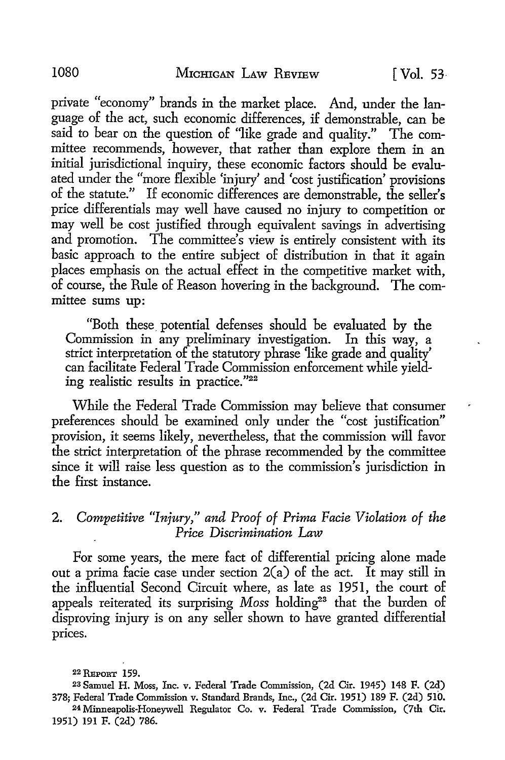private "economy" brands in the market place. And, under the language of the act, such economic differences, if demonstrable, can be said to bear on the question of "like grade and quality." The committee recommends, however, that rather than explore them in an initial jurisdictional inquiry, these economic factors should be evaluated under the "more flexible 'injury' and 'cost justification' provisions of the statute." If economic differences are demonstrable, the seller's price differentials may well have caused no injury to competition or may well be cost justified through equivalent savings in advertising and promotion. The committee's view is entirely consistent with its basic approach to the entire subject of distribution in that it again places emphasis on the actual effect in the competitive market with, of course, the Rule of Reason hovering in the background. The committee sums up:

"Both these\_ potential defenses should be evaluated by the Commission in any preliminary investigation. In this way, a strict interpretation of the statutory phrase 'like grade and quality' can facilitate Federal Trade Commission enforcement while yielding realistic results in practice."22

While the Federal Trade Commission may believe that consumer preferences should be examined only under the "cost justification" provision, it seems likely, nevertheless, that the commission will favor the strict interpretation of the phrase recommended by the committee since it will raise less question as to the commission's jurisdiction **in**  the first instance.

#### **2.** *Competitive "Injury," and Proof of Prima Facie Violation of the Price Discrimination Law*

For some years, the mere fact of differential pricing alone made out a prima facie case under section 2(a) of the act. It may still in the influential Second Circuit where, as late as 1951, the court of appeals reiterated its surprising *Moss* holding<sup>23</sup> that the burden of disproving injury is on any seller shown to have granted differential prices.

<sup>22</sup> REPORT 159.

<sup>23</sup> Samuel H. Moss, Inc. v. Federal Trade Commission, (2d Cir. 1945) 148 F. (2d) 378; Federal Trade Commission v. Standard Brands, Inc., (2d Cir. 1951) 189 F. (2d) 510. 24 Minneapolis-Honeywell Regulator Co. v. Federal Trade Commission, (7th Cir. 1951) 191 F. (2d) 786.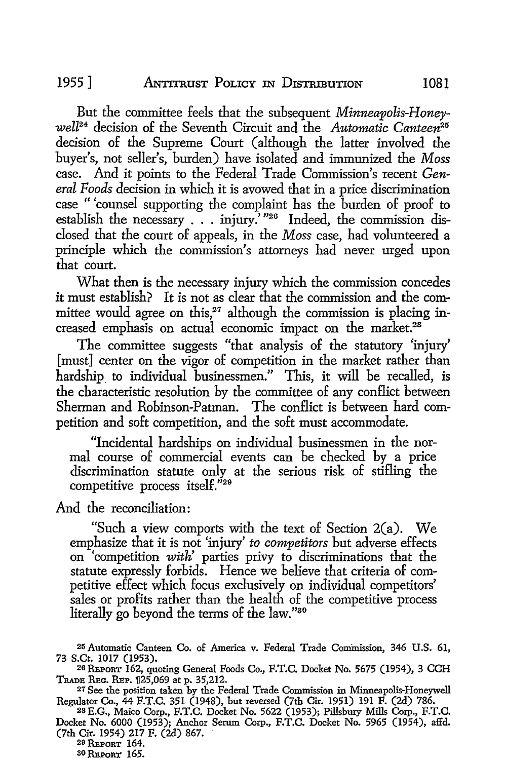But the committee feels that the subsequent *Minneapolis-Honeywell24* decision of the Seventh Circuit and the *Automatic Canteen25*  decision of the Supreme Court (although the latter involved the buyer's, not seller's, burden) have isolated and immunized the *Moss*  case. And it points to the Federal Trade Commission's recent *General Foods* decision in which it is avowed that in a price discrimination case "'counsel supporting the complaint has the burden of proof to establish the necessary . . . injury.<sup>2, 126</sup> Indeed, the commission disclosed that the court of appeals, in the *Moss* case, had volunteered a principle which the commission's attorneys had never urged upon that court.

What then is the necessary injury which the commission concedes it must establish? It is not as clear that the commission and the committee would agree on this, $27$  although the commission is placing increased emphasis on actual economic impact on the market.<sup>28</sup>

The committee suggests "that analysis of the statutory 'injury' [must] center on the vigor of competition in the market rather than hardship to individual businessmen." This, it will be recalled, is the characteristic resolution by the committee of any conflict between Sherman and Robinson-Patman. The conflict is between hard competition and soft competition, and the soft must accommodate.

"Incidental hardships on individual businessmen in the normal course of commercial events can be checked by a price discrimination statute only at the serious risk of stifling the competitive process itself."<sup>29</sup>

And the reconciliation:

"Such a view comports with the text of Section 2(a). We emphasize that it is not 'injury' *to competitors* but adverse effects on 'competition *with'* parties privy to discriminations that the statute expressly forbids. Hence we believe that criteria of competitive effect which focus exclusively on individual competitors' sales or profits rather than the health of the competitive process literally go beyond the terms of the law."30

30 REPORT 165.

<sup>25</sup> Automatic Canteen Co. of America v. Federal Trade Commission, 346 U.S. 61,

<sup>&</sup>lt;sup>26</sup> REPORT 162, quoting General Foods Co., F.T.C. Docket No. 5675 (1954), 3 CCH TRADE REG. REP. 125,069 at p. 35,212.

<sup>&</sup>lt;sup>27</sup> See the position taken by the Federal Trade Commission in Minneapolis-Honeywell Regulator Co., 44 F.T.C. 351 (1948), but reversed (7th Cir. 1951) 191 F. (2d) 786.

<sup>2</sup>s E.G., Maico Corp., F.T.C. Docket No. 5622 (1953); Pillsbury Mills Corp., F.T.C. Docket No. 6000 (1953); Anchor Serum Corp., F.T.C. Docket No. 5965 (1954), affd.  $(7th$  Cir. 1954) 217 F. (2d) 867.<br><sup>29</sup> Report 164.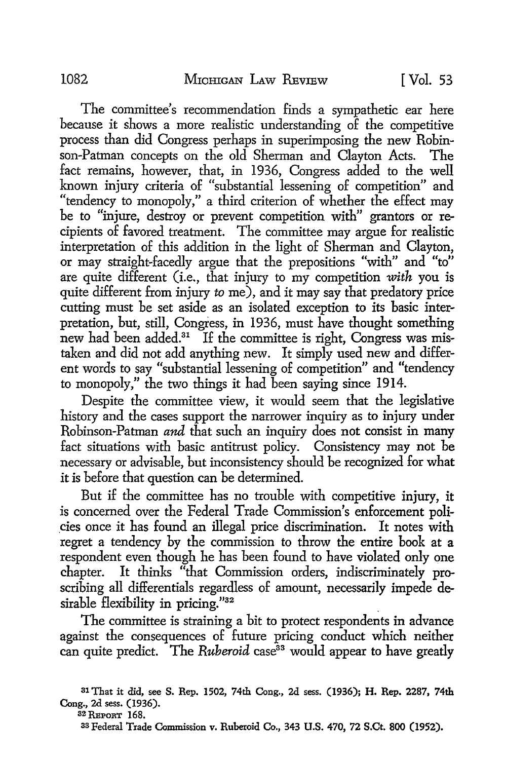The committee's recommendation finds a sympathetic ear here because it shows a more realistic understanding of the competitive process than did Congress perhaps in superimposing the new Robinson-Patman concepts on the old Sherman and Clayton Acts. The fact remains, however, that, in 1936, Congress added to the well known injury criteria of "substantial lessening of competition" and "tendency to monopoly," a third criterion of whether the effect may be to "injure, destroy or prevent competition with" grantors or recipients of favored treatment. The committee may argue for realistic interpretation of this addition in the light of Sherman and Clayton, or may straight-facedly argue that the prepositions "with" and "to" are quite different (i.e., that injury to my competition *with* you is quite different from injury *to* me), and it may say that predatory price cutting must be set aside as an isolated exception to its basic interpretation, but, still, Congress, in 1936, must have thought something new had been added.<sup>31</sup> If the committee is right, Congress was mistaken and did not add anything new. It simply used new and different words to say "substantial lessening of competition" and ''tendency to monopoly," the two things it had been saying since 1914.

Despite the committee view, it would seem that the legislative history and the cases support the narrower inquiry as to injury under Robinson-Patman *and* that such an inquiry does not consist in many fact situations with basic antitrust policy. Consistency may not be necessary or advisable, but inconsistency should be recognized for what it is before that question can be determined.

But if the committee has no trouble with competitive injury, it is concerned over the Federal Trade Commission's enforcement poli- \_cies once it has found an illegal price discrimination. It notes with regret a tendency by the commission to throw the entire book at a respondent even though he has been found to have violated only one chapter. It thinks "that Commission orders, indiscriminately proscribing all differentials regardless of amount, necessarily impede desirable flexibility in pricing."32

The committee is straining a bit to protect respondents in advance against the consequences of future pricing conduct which neither can quite predict. The *Ruberoid* case<sup>33</sup> would appear to have greatly

31 That it did, see S. Rep. 1502, 74th Cong., 2d sess. (1936); H. Rep. 2287, 74th Cong., 2d sess. (1936).

32 REPORT 168.

33 Federal Trade Commission v. Ruberoid Co., 343 U.S. 470, 72 S.Ct. 800 (1952).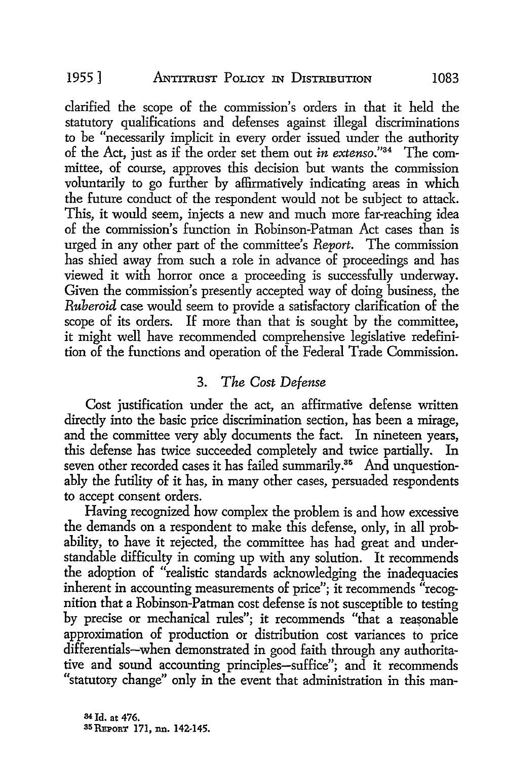clarified the scope of the commission's orders in that it held the statutory qualifications and defenses against illegal discriminations to be "necessarily implicit in every order issued under the authority of the Act, just as if the order set them out *in extenso."34* The committee, of course, approves this decision but wants the commission voluntarily to go further by affirmatively indicating areas in which the future conduct of the respondent would not be subject to attack. This, it would seem, injects a new and much more far-reaching idea of the commission's function in Robinson-Patman Act cases than is urged in any other part of the committee's *Report.* The commission has shied away from such a role in advance of proceedings and has viewed it with horror once a proceeding is successfully underway. Given the commission's presently accepted way of doing business, the *Ruberoid* case would seem to provide a satisfactory clarification of the scope of its orders. If more than that is sought by the committee, it might well have recommended comprehensive legislative redefinition of the functions and operation of the Federal Trade Commission.

### 3. *The Cost Defense*

Cost justification under the act, an affirmative defense written directly into the basic price discrimination section, has been a mirage, and the committee very ably documents the fact. In nineteen years, this defense has twice succeeded completely and twice partially. In seven other recorded cases it has failed summarily.<sup>35</sup> And unquestionably the futility of it has, in many other cases, persuaded respondents to accept consent orders.

Having recognized how complex the problem is and how excessive the demands on a respondent to make this defense, only, in all probability, to have it rejected, the committee has had great and understandable difficulty in coming up with any solution. It recommends the adoption of "realistic standards acknowledging the inadequacies inherent in accounting measurements of price"; it recommends "recognition that a Robinson-Patman cost defense is not susceptible to testing by precise or mechanical rules"; it recommends "that a reasonable approximation of production or distribution cost variances to price differentials-when demonstrated in good faith through any authoritative and sound accounting principles-suffice"; and it recommends "statutory change" only in the event that administration in this man-

<sup>34</sup>Id. at 476. 35 REPORT 171, nn. 142-145.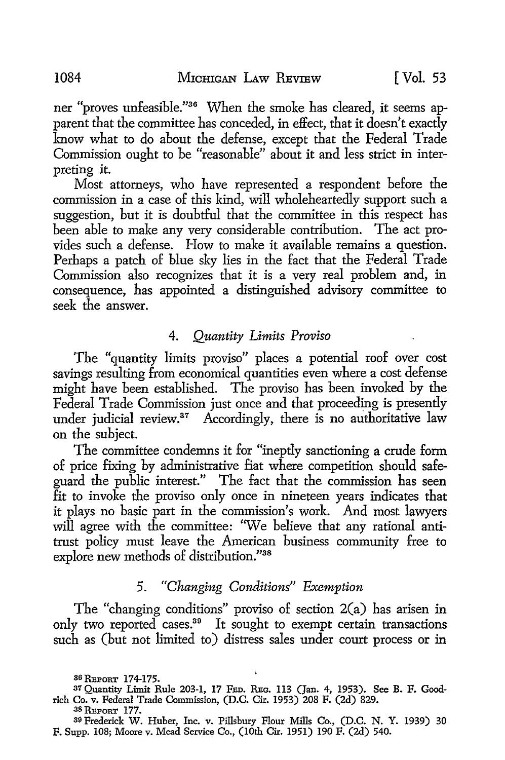ner "proves unfeasible."36 When the smoke has cleared, it seems apparent that the committee has conceded, in effect, that it doesn't exactly know what to do about the defense, except that the Federal Trade Commission ought to be "reasonable" about it and less strict in interpreting it.

Most attorneys, who have represented a respondent before the commission in a case of this kind, will wholeheartedly support such a suggestion, but it is doubtful that the committee in this respect has been able to make any very considerable contribution. The act provides such a defense. How to make it available remains a question. Perhaps a patch of blue sky lies in the fact that the Federal Trade Commission also recognizes that it is a very real problem and, in consequence, has appointed a distinguished advisory committee to seek the answer.

#### 4. *Quantity Limits Proviso*

The "quantity limits proviso" places a potential roof over cost savings resulting from economical quantities even where a cost defense might have been established. The proviso has been invoked by the Federal Trade Commission just once and that proceeding is presently under judicial review.<sup>37</sup> Accordingly, there is no authoritative law on the subject.

The committee condemns it for "ineptly sanctioning a crude form of price fixing by administrative fiat where competition should safeguard the public interest." The fact that the commission has seen fit to invoke the proviso only once in nineteen years indicates that it plays no basic part in the commission's work. And most lawyers will agree with the committee: "We believe that any rational antitrust policy must leave the American business community free to explore new methods of distribution."38

#### 5. *"Changing Conditions" Exemption*

The "changing conditions" proviso of section 2(a) has arisen in only two reported cases.<sup>39</sup> It sought to exempt certain transactions such as (but not limited to) distress sales under court process or in

38 REPORT 177.

<sup>36</sup> REPORT 174-175.

<sup>37</sup> Quantity Limit Rule 203-1, 17 FED. REG. 113 (Jan. 4, 1953). See B. F. Goodrich Co. v. Federal Trade Commission, (D.C. Cir. 1953) 208 F. (2d) 829.

<sup>39</sup>Frederick W. Huber, Inc. v. Pillsbury Flour Mills Co., (D.C. N. Y. 1939) 30 F. Supp. 108; Moore v. Mead Service Co., (10th Cir. 1951) 190 F. (2d) 540.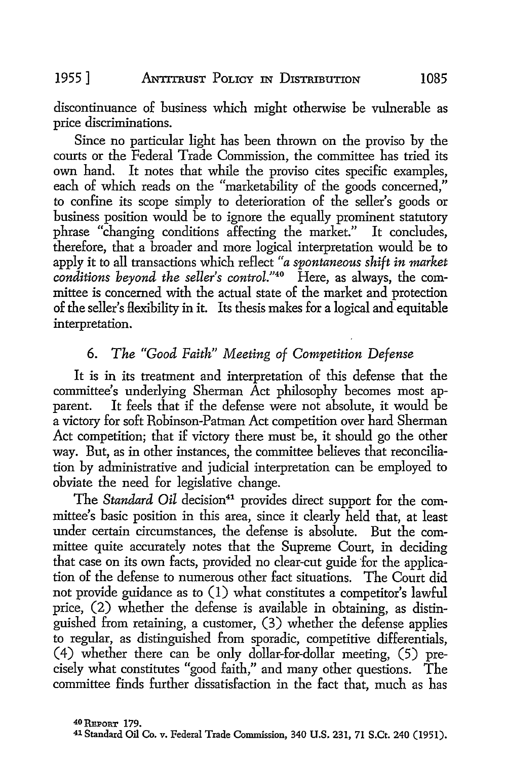discontinuance of business which might otherwise be vulnerable as price discriminations.

Since no particular light has been thrown on the proviso by the courts or the Federal Trade Commission, the committee has tried its own hand. It notes that while the proviso cites specific examples, each of which reads on the "marketability of the goods concerned," to confine its scope simply to deterioration of the seller's goods or business position would be to ignore the equally prominent statutory phrase "changing conditions affecting the market." It concludes, therefore, that a broader and more logical interpretation would be to apply it to all transactions which reflect *"a spontaneous shift in market conditions beyond the seller's control."40* Here, as always, the committee is concerned with the actual state of the market and protection of the seller's Hexibility in it. Its thesis makes for a logical and equitable interpretation.

# 6. *The "Good Faith" Meeting of Competition Defense*

It is in its treatment and interpretation of this defense that the committee's underlying Sherman Act philosophy becomes most apparent. It feels that if the defense were not absolute, it would be a victory for soft Robinson-Patman Act competition over hard Sherman Act competition; that if victory there must be, it should go the other way. But, as in other instances, the committee believes that reconciliation by administrative and judicial interpretation can be employed to obviate the need for legislative change.

The *Standard Oil* decision<sup>41</sup> provides direct support for the committee's basic position in this area, since it clearly held that, at least under certain circumstances, the defense is absolute. But the committee quite accurately notes that the Supreme Court, in deciding that case on its own facts, provided no clear-cut guide for the application of the defense to numerous other fact situations. The Court did not provide guidance as to (1) what constitutes a competitor's lawful price, (2) whether the defense is available in obtaining, as distinguished from retaining, a customer, (3) whether the defense applies to regular, as distinguished from sporadic, competitive differentials, ( 4) whether there can be only dollar-for-dollar meeting, (5) precisely what constitutes "good faith," and many other questions. The committee finds further dissatisfaction in the fact that, much as has

<sup>41</sup> Standard Oil Co. v. Federal Trade Commission, 340 U.S. 231, 71 S.Ct. 240 (1951).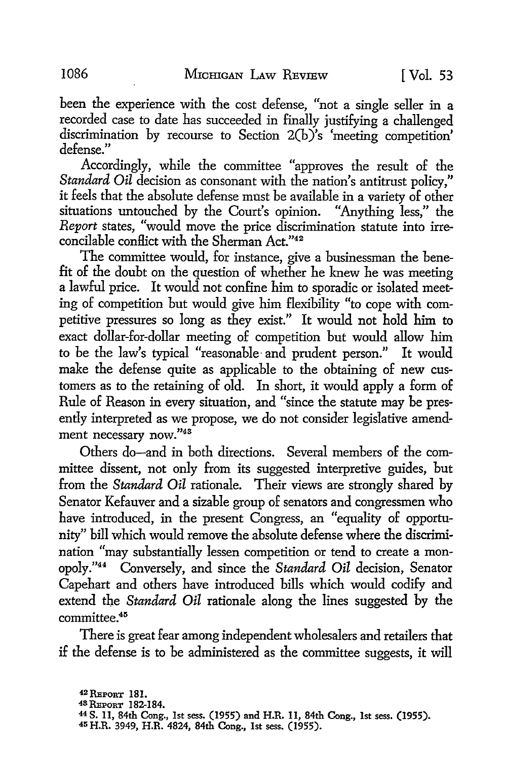been the experience with the cost defense, "not a single seller in a recorded case to date has succeeded in finally justifying a challenged discrimination by recourse to Section  $2(b)$ 's 'meeting competition' defense."

Accordingly, while the committee "approves the result of the *Standard Oil* decision as consonant with the nation's antitrust policy," it feels that the absolute defense must be available in a variety of other situations untouched by the Court's opinion. "Anything less," the *Report* states, "would move the price discrimination statute into irreconcilable conflict with the Sherman Act."42

The committee would, for instance, give a businessman the benefit of the doubt on the question of whether he knew he was meeting a lawful price. It would not confine him to sporadic or isolated meeting of competition but would give him flexibility "to cope with competitive pressures so long as they exist." It would not hold him to exact dollar-for-dollar meeting of competition but would allow him to be the law's typical "reasonable and prudent person." It would make the defense quite as applicable to the obtaining of new customers as to the retaining of old. In short, it would apply a form of Rule of Reason in every situation, and "since the statute may be presently interpreted as we propose, we do not consider legislative amendment necessary now."43

Others do-and in both directions. Several members of the committee dissent, not only from its suggested interpretive guides, but from the *Standard Oil* rationale. Their views are strongly shared by Senator Kefauver and a sizable group of senators and congressmen who have introduced, in the present Congress, an "equality of opportunity" bill which would remove the absolute defense where the discrimination "may substantially lessen competition or tend to create a monopoly ."44 Conversely, and since the *Standard Oil* decision, Senator Capehart and others have introduced bills which would codify and extend the *Standard Oil* rationale along the lines suggested by the committee.<sup>45</sup>

There is great fear among independent wholesalers and retailers that if the defense is to be administered as the committee suggests, it will

- 48 REPORT 182-184.
- 44 S. 11, 84th Cong., 1st sess. (1955) and H.R. 11, 84th Cong., 1st sess. (1955).
- 45 H.R. 3949, H.R. 4824, 84th Cong., 1st sess. (1955).

<sup>42</sup>REPORT **181.**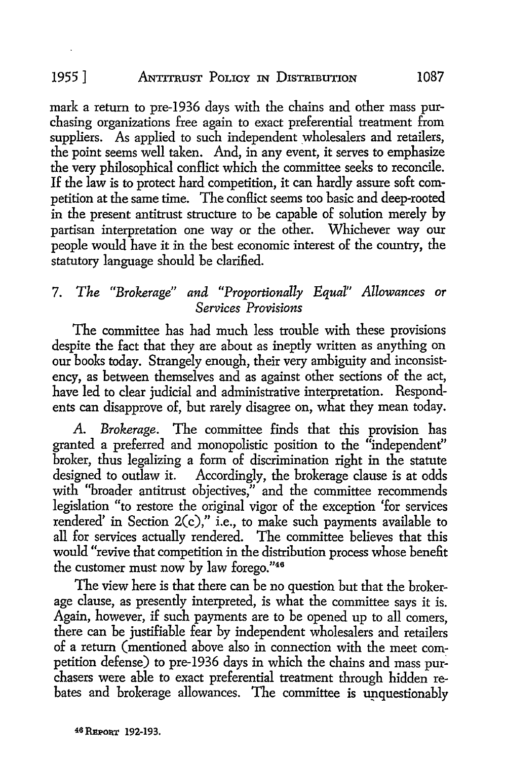## 1955 ] ANTITRUST POLICY IN DISTRIBUTION 1087

mark a return to pre-1936 days with the chains and other mass purchasing organizations free again to exact preferential treatment from suppliers. As applied to such independent wholesalers and retailers, the point seems well taken. And, in any event, it serves to emphasize the very philosophical conflict which the committee seeks to reconcile. If the law is to protect hard competition, it can hardly assure soft competition at the same time. The conflict seems too basic and deep-rooted in the present antitrust structure to be capable of solution merely by partisan interpretation one way or the other. Whichever way our people would have it in the best economic interest of the country, the statutory language should be clarified.

# 7. *The "Brokerage" and "Proportionally EquaI" Allowances or Services Provisions*

The committee has had much less trouble with these provisions despite the fact that they are about as ineptly written as anything on our books today. Strangely enough, their very ambiguity and inconsistency, as between themselves and as against other sections of the act, have led to clear judicial and administrative interpretation. Respondents can disapprove of, but rarely disagree on, what they mean today.

A. *Brokerage.* The committee finds that this provision has granted a preferred and monopolistic position to the "independent" broker, thus legalizing a form of discrimination right in the statute designed to outlaw it. Accordingly, the brokerage clause is at odds with "broader antitrust objectives," and the committee recommends legislation "to restore the original vigor of the exception 'for services rendered' in Section 2(c)," i.e., to make such payments available to all for services actually rendered. The committee believes that this would "revive that competition in the distribution process whose benefit the customer must now by law forego."46

The view here is that there can be no question but that the brokerage clause, as presently interpreted, is what the committee says it is. Again, however, if such payments are to be opened up to all comers. there can be justifiable fear by independent wholesalers and retailers of a return (mentioned above also in connection with the meet competition defense) to pre-1936 days in which the chains and mass purchasers were able to exact preferential treatment through hidden rebates and brokerage allowances. The committee is unquestionably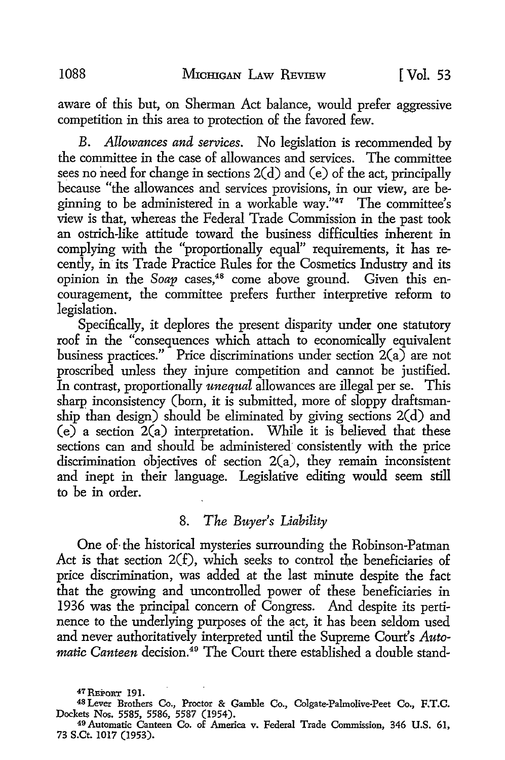aware of this but, on Sherman Act balance, would prefer aggressive competition in this area to protection of the favored few.

*B. Allowances and services.* No legislation is recommended by the committee in the case of allowances and services. The committee sees no need for change in sections  $2(d)$  and  $(e)$  of the act, principally because "the allowances and services provisions, in our view, are beginning to be administered in a workable way." $47$  The committee's view is that, whereas the Federal Trade Commission in the past took an ostrich-like attitude toward the business difficulties inherent in complying with the "proportionally equal" requirements, it has recently, in its Trade Practice Rules for the Cosmetics Industry and its opinion in the *Soap* cases,<sup>48</sup> come above ground. Given this encouragement, the committee prefers further interpretive reform to legislation.

Specifically, it deplores the present disparity under one statutory roof in the "consequences which attach to economically equivalent business practices." Price discriminations under section  $2(a)$  are not proscribed unless they injure competition and cannot be justified. In contrast, proportionally *unequal* allowances are illegal per se. This sharp inconsistency (born, it is submitted, more of sloppy draftsmanship than design) should be eliminated by giving sections 2(d) and  $(e)$  a section  $2(a)$  interpretation. While it is believed that these sections can and should be administered' consistently with the price discrimination objectives of section  $2(a)$ , they remain inconsistent and inept in their language. Legislative editing would seem still to be in order.

# 8. *The Buyer's Liability*

One of· the historical mysteries surrounding the Robinson-Patman Act is that section 2(f), which seeks to control the beneficiaries of price discrimination, was added at the last minute despite the fact that the growing and uncontrolled power of these beneficiaries in 1936 was the principal concern of Congress. And despite its pertinence to the underlying purposes of the act, it has been seldom used and never authoritatively interpreted until the Supreme Court's *Automatic Canteen* decision.<sup>49</sup> The Court there established a double stand-

48 Lever Brothers Co., Proctor & Gamble Co., Colgate-Palmolive-Peet Co., F.T.C. Dockets Nos. 5585, 5586, 5587 (1954). 49 Automatic Canteen Co. of America v. Federal Trade Commission, 346 U.S. 61,

 $47$  REPORT 191.

<sup>73</sup> S.Ct. 1017 (1953).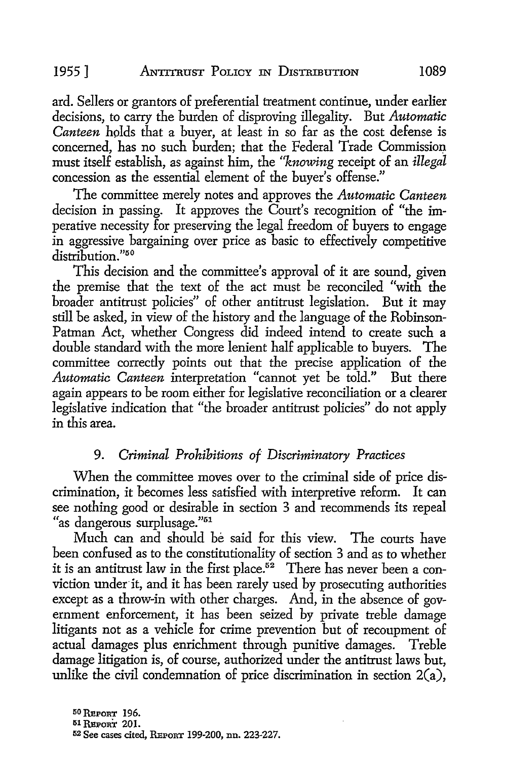ard. Sellers or grantors of preferential treatment continue, under earlier decisions, to carry the burden of disproving illegality. But *Automatic Canteen* holds that a buyer, at least in so far as the cost defense is concerned, has no such burden; that the Federal Trade Commission must itself establish, as against him, the *"knowing* receipt of an *illegal*  concession as the essential element of the buyer's offense."

The committee merely notes and approves the *Automatic Canteen*  decision in passing. It approves the Court's recognition of "the imperative necessity for preserving the legal freedom of buyers to engage in aggressive bargaining over price as basic to effectively competitive distribution."<sup>50</sup>

This decision and the committee's approval of it are sound, given the premise that the text of the act must be reconciled "with the broader antitrust policies" of other antitrust legislation. But it may still be asked, in view of the history and the language of the Robinson-Patman Act, whether Congress did indeed intend to create such a double standard with the more lenient half applicable to buyers. The committee correctly points out that the precise application of the Automatic Canteen interpretation "cannot vet be told." But there Automatic Canteen interpretation "cannot yet be told." again appears to be room either for legislative reconciliation or a clearer legislative indication that "the broader antitrust policies" do not apply in this area.

#### 9. *Criminal Prohibitions of Discriminatory Practices*

When the committee moves over to the criminal side of price discrimination, it becomes less satisfied with interpretive reform. It can see nothing good or desirable in section 3 and recommends its repeal "as dangerous surplusage."51

Much can and should be said for this view. The courts have been confused as to the constitutionality of section 3 and as to whether it is an antitrust law in the first place.<sup>52</sup> There has never been a conviction under it, and it has been rarely used by prosecuting authorities except as a throw-in with other charges. And, in the absence of government enforcement, it has been seized by private treble damage litigants not as a vehicle for crime prevention but of recoupment of actual damages plus enrichment through punitive damages. Treble damage litigation is, of course, authorized under the antitrust laws but, unlike the civil condemnation of price discrimination in section 2(a),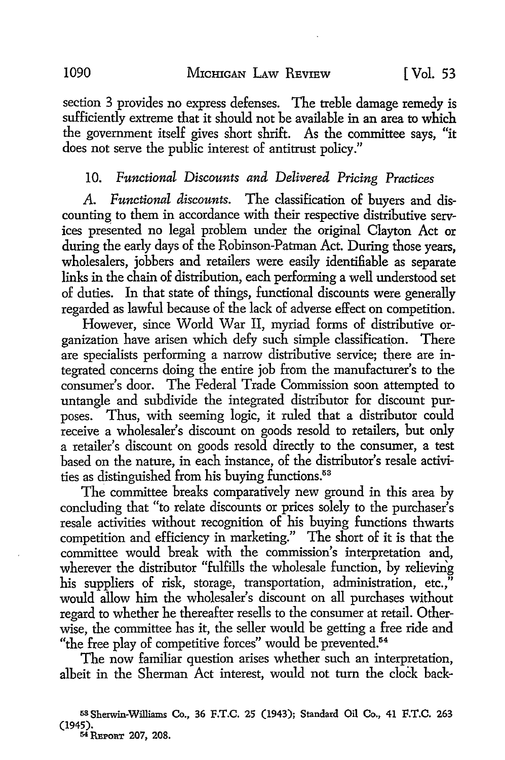section 3 provides no express defenses. The treble damage remedy is sufficiently extreme that it should not be available in an area to which the government itself gives short shrift. As the committee says, "it does not serve the public interest of antitrust policy."

## 10. Functional Discounts and Delivered Pricing Practices

A. *Functional discounts.* The classification of buyers and discounting to them in accordance with their respective distributive services presented no legal problem under the original Clayton Act or during the early days of the Robinson-Patman Act. During those years, wholesalers, jobbers and retailers were easily identifiable as separate links in the chain of distribution, each performing a well understood set of duties. In that state of things, functional discounts were generally regarded as lawful because of the lack of adverse effect on competition.

However, since World War II, myriad forms of distributive organization have arisen which defy such simple classification. There are specialists performing a narrow distributive service; there are integrated concerns doing the entire job from the manufacturer's to the consumer's door. The Federal Trade Commission soon attempted to untangle and subdivide the integrated distributor for discount purposes. Thus, with seeming logic, it ruled that a distributor could receive a wholesaler's discount on goods resold to retailers, but only a retailer's discount on goods resold directly to the consumer, a test based on the nature, in each instance, of the distributor's resale activities as distinguished from his buying functions.<sup>53</sup>

The committee breaks comparatively new ground in this area by concluding that "to relate discounts or prices solely to the purchaser's resale activities without recognition of his buying functions thwarts competition and efficiency in marketing." The short of it is that the committee would break with the commission's interpretation and, wherever the distributor "fulfills the wholesale function, by relieving his suppliers of risk, storage, transportation, administration, etc.," would allow him the wholesaler's discount on all purchases without regard to whether he thereafter resells to the consumer at retail. Otherwise, the committee has it, the seller would be getting a free ride and "the free play of competitive forces" would be prevented.<sup>54</sup>

The now familiar question arises whether such an interpretation, albeit in the Sherman Act interest, would not turn the clock back-

68Sherwin-Williams Co., 36 F.T.C. 25 (1943); Standard Oil Co., 41 F.T.C. 263 (1945). 54 REPORT 207, 208.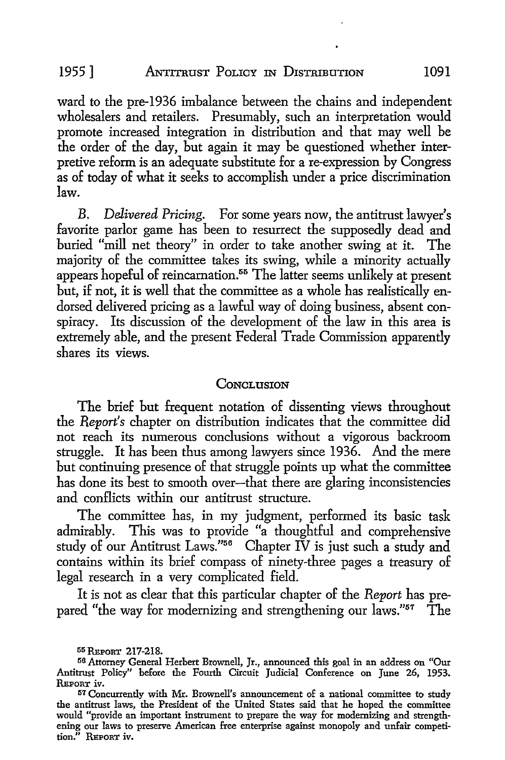ward to the pre-1936 imbalance between the chains and independent wholesalers and retailers. Presumably, such an interpretation would promote increased integration in distribution and that may well be the order of the day, but again it may be questioned whether interpretive reform is an adequate substitute for a re-expression by Congress as of today of what it seeks to accomplish under a price discrimination law.

B. *Delivered Pricing.* For some years now, the antitrust lawyer's favorite parlor game has been to resurrect the supposedly dead and buried "mill net theory" in order to take another swing at it. The majority of the committee takes its swing, while a minority actually appears hopeful of reincarnation.<sup>55</sup> The latter seems unlikely at present but, if not, it is well that the committee as a whole has realistically endorsed delivered pricing as a lawful way of doing business, absent conspiracy. Its discussion of the development of the law in this area is extremely able, and the present Federal Trade Commission apparently shares its views.

#### **CONCLUSION**

The brief but frequent notation of dissenting views throughout the *Report's* chapter on distribution indicates that the committee did not reach its numerous conclusions without a vigorous backroom struggle. It has been thus among lawyers since 1936. And the mere but continuing presence of that struggle points up what the committee has done its best to smooth over-that there are glaring inconsistencies and conflicts within our antitrust structure.

The committee has, in my judgment, performed its basic task admirably. This was to provide "a thoughtful and comprehensive study of our Antitrust Laws."<sup>56</sup> Chapter IV is just such a study and contains within its brief compass of ninety-three pages a treasury of legal research in a very complicated field.

It is not as clear that this particular chapter of the *Report* has prepared "the way for modernizing and strengthening our laws." $57$  The

**<sup>55</sup>REPoRT 217-218.** 

<sup>56</sup> Attorney General Herbert Brownell, Jr., announced this goal in an address on "Our Antitrust Policy" before the Fourth Circuit Judicial Conference on June 26, 1953. REPORT iv.

<sup>57</sup> Concurrently with Mr. Brownell's announcement of a national committee to study the antitrust laws, the President of the United States said that he hoped the committee would "provide an important instrument to prepare the way for modernizing and strengthening our laws to preserve American free enterprise against monopoly and unfair competition." REPORT iv.